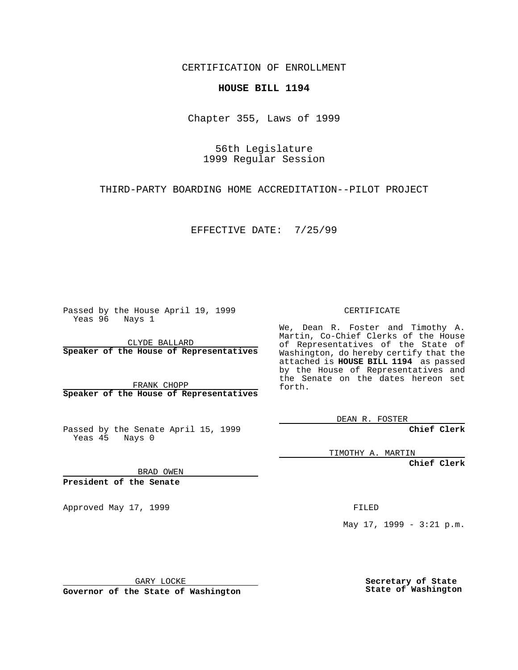CERTIFICATION OF ENROLLMENT

## **HOUSE BILL 1194**

Chapter 355, Laws of 1999

56th Legislature 1999 Regular Session

THIRD-PARTY BOARDING HOME ACCREDITATION--PILOT PROJECT

EFFECTIVE DATE: 7/25/99

Passed by the House April 19, 1999 Yeas 96 Nays 1

CLYDE BALLARD **Speaker of the House of Representatives**

FRANK CHOPP **Speaker of the House of Representatives**

Passed by the Senate April 15, 1999 Yeas 45 Nays 0

CERTIFICATE

We, Dean R. Foster and Timothy A. Martin, Co-Chief Clerks of the House of Representatives of the State of Washington, do hereby certify that the attached is **HOUSE BILL 1194** as passed by the House of Representatives and the Senate on the dates hereon set forth.

DEAN R. FOSTER

**Chief Clerk**

TIMOTHY A. MARTIN

**Chief Clerk**

BRAD OWEN

**President of the Senate**

Approved May 17, 1999 **FILED** 

May 17, 1999 - 3:21 p.m.

GARY LOCKE

**Governor of the State of Washington**

**Secretary of State State of Washington**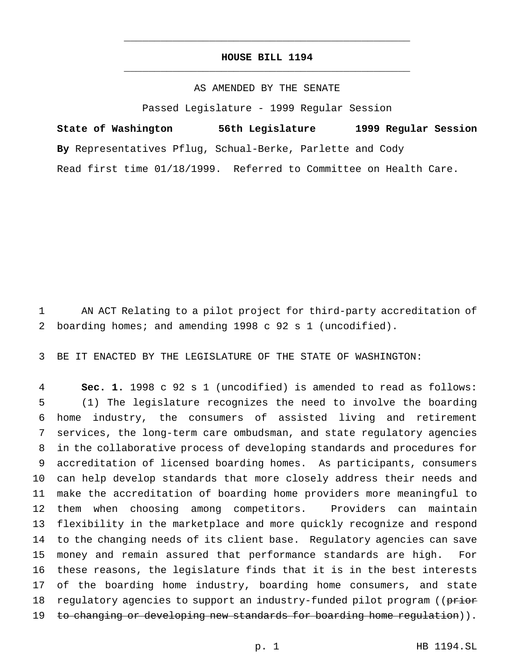## **HOUSE BILL 1194** \_\_\_\_\_\_\_\_\_\_\_\_\_\_\_\_\_\_\_\_\_\_\_\_\_\_\_\_\_\_\_\_\_\_\_\_\_\_\_\_\_\_\_\_\_\_\_

\_\_\_\_\_\_\_\_\_\_\_\_\_\_\_\_\_\_\_\_\_\_\_\_\_\_\_\_\_\_\_\_\_\_\_\_\_\_\_\_\_\_\_\_\_\_\_

## AS AMENDED BY THE SENATE

Passed Legislature - 1999 Regular Session

**State of Washington 56th Legislature 1999 Regular Session By** Representatives Pflug, Schual-Berke, Parlette and Cody Read first time 01/18/1999. Referred to Committee on Health Care.

 AN ACT Relating to a pilot project for third-party accreditation of boarding homes; and amending 1998 c 92 s 1 (uncodified).

BE IT ENACTED BY THE LEGISLATURE OF THE STATE OF WASHINGTON:

 **Sec. 1.** 1998 c 92 s 1 (uncodified) is amended to read as follows: (1) The legislature recognizes the need to involve the boarding home industry, the consumers of assisted living and retirement services, the long-term care ombudsman, and state regulatory agencies in the collaborative process of developing standards and procedures for accreditation of licensed boarding homes. As participants, consumers can help develop standards that more closely address their needs and make the accreditation of boarding home providers more meaningful to them when choosing among competitors. Providers can maintain flexibility in the marketplace and more quickly recognize and respond to the changing needs of its client base. Regulatory agencies can save money and remain assured that performance standards are high. For these reasons, the legislature finds that it is in the best interests of the boarding home industry, boarding home consumers, and state 18 regulatory agencies to support an industry-funded pilot program ((prior 19 to changing or developing new standards for boarding home regulation)).